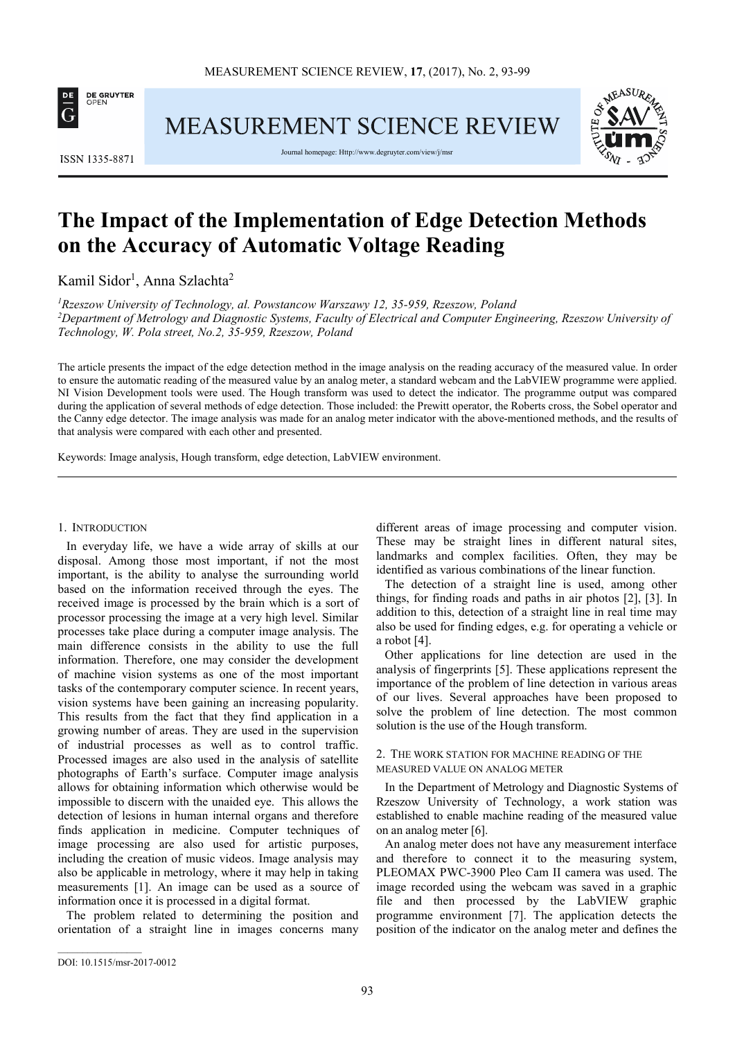

**MEASUREMENT SCIENCE REVIEW** 



**ISSN 1335-8871** 

Journal homepage: Http://www.degruyter.com/view/j/msr

# **The Impact of the Implementation of Edge Detection Methods on the Accuracy of Automatic Voltage Reading**

Kamil Sidor<sup>1</sup>, Anna Szlachta<sup>2</sup>

*<sup>1</sup>Rzeszow University of Technology, al. Powstancow Warszawy 12, 35-959, Rzeszow, Poland <sup>2</sup>Department of Metrology and Diagnostic Systems, Faculty of Electrical and Computer Engineering, Rzeszow University of Technology, W. Pola street, No.2, 35-959, Rzeszow, Poland* 

The article presents the impact of the edge detection method in the image analysis on the reading accuracy of the measured value. In order to ensure the automatic reading of the measured value by an analog meter, a standard webcam and the LabVIEW programme were applied. NI Vision Development tools were used. The Hough transform was used to detect the indicator. The programme output was compared during the application of several methods of edge detection. Those included: the Prewitt operator, the Roberts cross, the Sobel operator and the Canny edge detector. The image analysis was made for an analog meter indicator with the above-mentioned methods, and the results of that analysis were compared with each other and presented.

Keywords: Image analysis, Hough transform, edge detection, LabVIEW environment.

### 1. INTRODUCTION

In everyday life, we have a wide array of skills at our disposal. Among those most important, if not the most important, is the ability to analyse the surrounding world based on the information received through the eyes. The received image is processed by the brain which is a sort of processor processing the image at a very high level. Similar processes take place during a computer image analysis. The main difference consists in the ability to use the full information. Therefore, one may consider the development of machine vision systems as one of the most important tasks of the contemporary computer science. In recent years, vision systems have been gaining an increasing popularity. This results from the fact that they find application in a growing number of areas. They are used in the supervision of industrial processes as well as to control traffic. Processed images are also used in the analysis of satellite photographs of Earth's surface. Computer image analysis allows for obtaining information which otherwise would be impossible to discern with the unaided eye. This allows the detection of lesions in human internal organs and therefore finds application in medicine. Computer techniques of image processing are also used for artistic purposes, including the creation of music videos. Image analysis may also be applicable in metrology, where it may help in taking measurements [1]. An image can be used as a source of information once it is processed in a digital format.

The problem related to determining the position and orientation of a straight line in images concerns many different areas of image processing and computer vision. These may be straight lines in different natural sites, landmarks and complex facilities. Often, they may be identified as various combinations of the linear function.

The detection of a straight line is used, among other things, for finding roads and paths in air photos [2], [3]. In addition to this, detection of a straight line in real time may also be used for finding edges, e.g. for operating a vehicle or a robot [4].

Other applications for line detection are used in the analysis of fingerprints [5]. These applications represent the importance of the problem of line detection in various areas of our lives. Several approaches have been proposed to solve the problem of line detection. The most common solution is the use of the Hough transform.

# 2. THE WORK STATION FOR MACHINE READING OF THE MEASURED VALUE ON ANALOG METER

In the Department of Metrology and Diagnostic Systems of Rzeszow University of Technology, a work station was established to enable machine reading of the measured value on an analog meter [6].

An analog meter does not have any measurement interface and therefore to connect it to the measuring system, PLEOMAX PWC-3900 Pleo Cam II camera was used. The image recorded using the webcam was saved in a graphic file and then processed by the LabVIEW graphic programme environment [7]. The application detects the position of the indicator on the analog meter and defines the

 $\overline{\phantom{a}}$  ,  $\overline{\phantom{a}}$  ,  $\overline{\phantom{a}}$  ,  $\overline{\phantom{a}}$  ,  $\overline{\phantom{a}}$  ,  $\overline{\phantom{a}}$  ,  $\overline{\phantom{a}}$  ,  $\overline{\phantom{a}}$  ,  $\overline{\phantom{a}}$  ,  $\overline{\phantom{a}}$  ,  $\overline{\phantom{a}}$  ,  $\overline{\phantom{a}}$  ,  $\overline{\phantom{a}}$  ,  $\overline{\phantom{a}}$  ,  $\overline{\phantom{a}}$  ,  $\overline{\phantom{a}}$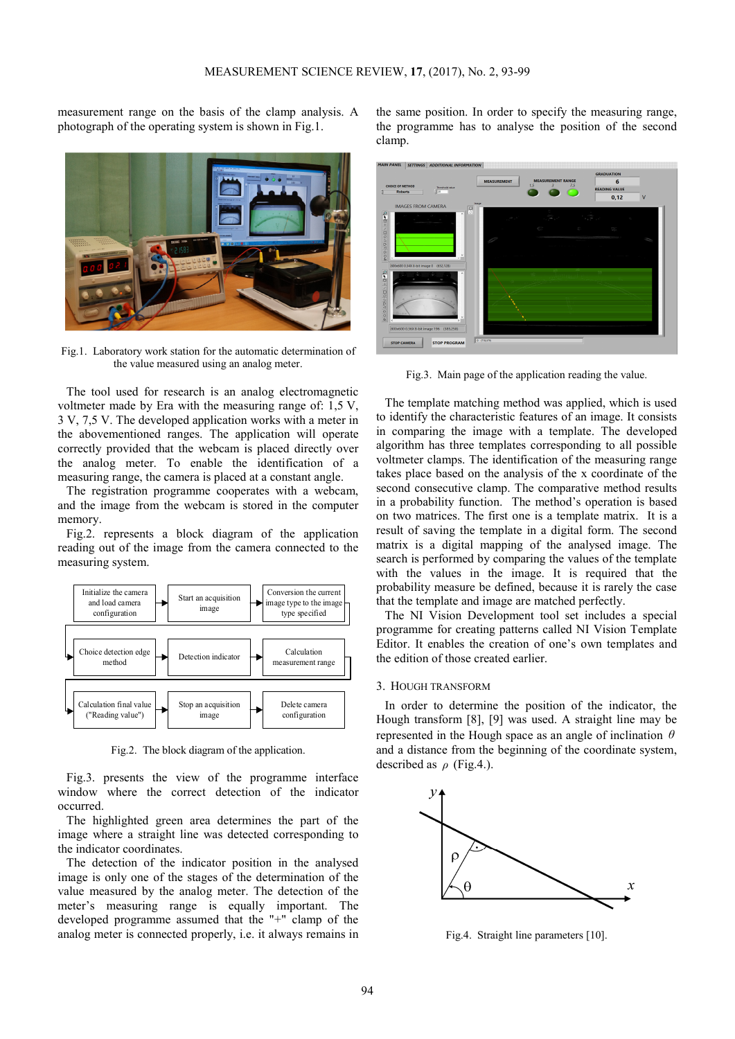measurement range on the basis of the clamp analysis. A photograph of the operating system is shown in Fig.1.



Fig.1. Laboratory work station for the automatic determination of the value measured using an analog meter.

The tool used for research is an analog electromagnetic voltmeter made by Era with the measuring range of: 1,5 V, 3 V, 7,5 V. The developed application works with a meter in the abovementioned ranges. The application will operate correctly provided that the webcam is placed directly over the analog meter. To enable the identification of a measuring range, the camera is placed at a constant angle.

The registration programme cooperates with a webcam, and the image from the webcam is stored in the computer memory.

Fig.2. represents a block diagram of the application reading out of the image from the camera connected to the measuring system.



Fig.2. The block diagram of the application.

Fig.3. presents the view of the programme interface window where the correct detection of the indicator occurred.

The highlighted green area determines the part of the image where a straight line was detected corresponding to the indicator coordinates.

The detection of the indicator position in the analysed image is only one of the stages of the determination of the value measured by the analog meter. The detection of the meter's measuring range is equally important. The developed programme assumed that the "+" clamp of the analog meter is connected properly, i.e. it always remains in

the same position. In order to specify the measuring range, the programme has to analyse the position of the second clamp.



Fig.3. Main page of the application reading the value.

The template matching method was applied, which is used to identify the characteristic features of an image. It consists in comparing the image with a template. The developed algorithm has three templates corresponding to all possible voltmeter clamps. The identification of the measuring range takes place based on the analysis of the x coordinate of the second consecutive clamp. The comparative method results in a probability function. The method's operation is based on two matrices. The first one is a template matrix. It is a result of saving the template in a digital form. The second matrix is a digital mapping of the analysed image. The search is performed by comparing the values of the template with the values in the image. It is required that the probability measure be defined, because it is rarely the case that the template and image are matched perfectly.

The NI Vision Development tool set includes a special programme for creating patterns called NI Vision Template Editor. It enables the creation of one's own templates and the edition of those created earlier.

## 3. HOUGH TRANSFORM

In order to determine the position of the indicator, the Hough transform [8], [9] was used. A straight line may be represented in the Hough space as an angle of inclination *θ* and a distance from the beginning of the coordinate system, described as *ρ* (Fig.4.).



Fig.4. Straight line parameters [10].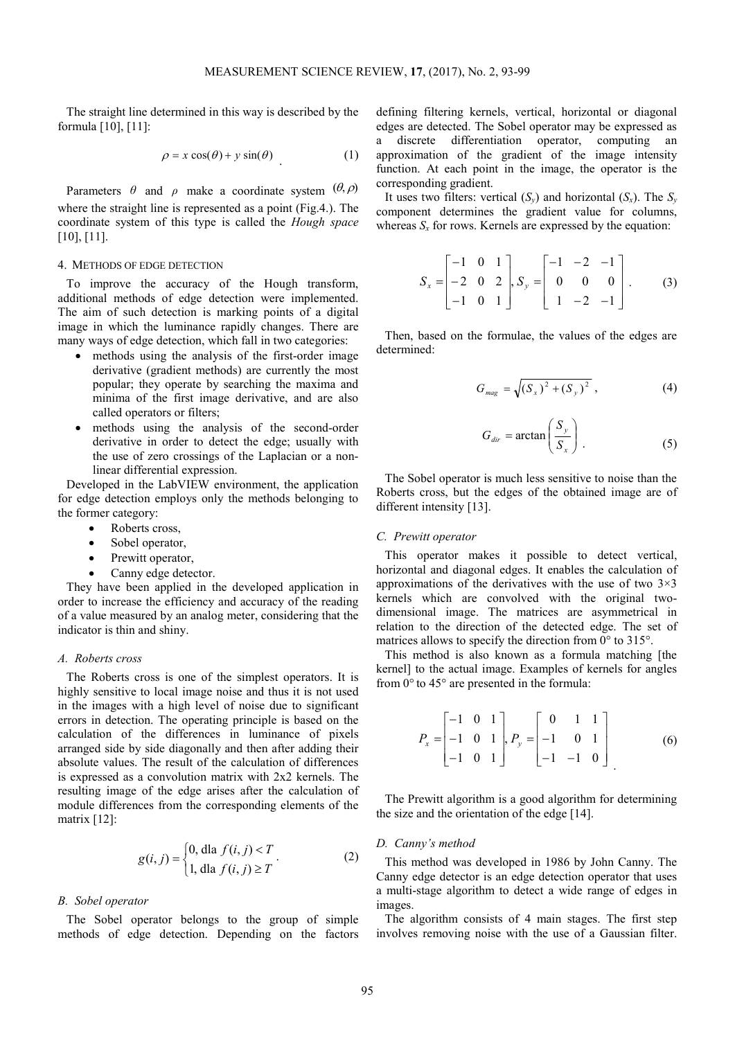The straight line determined in this way is described by the formula [10], [11]:

$$
\rho = x \cos(\theta) + y \sin(\theta) \tag{1}
$$

Parameters  $\theta$  and  $\rho$  make a coordinate system  $(\theta, \rho)$ where the straight line is represented as a point (Fig.4.). The coordinate system of this type is called the *Hough space* [10], [11].

# 4. METHODS OF EDGE DETECTION

To improve the accuracy of the Hough transform, additional methods of edge detection were implemented. The aim of such detection is marking points of a digital image in which the luminance rapidly changes. There are many ways of edge detection, which fall in two categories:

- methods using the analysis of the first-order image derivative (gradient methods) are currently the most popular; they operate by searching the maxima and minima of the first image derivative, and are also called operators or filters;
- methods using the analysis of the second-order derivative in order to detect the edge; usually with the use of zero crossings of the Laplacian or a nonlinear differential expression.

Developed in the LabVIEW environment, the application for edge detection employs only the methods belonging to the former category:

- Roberts cross,
- Sobel operator,
- Prewitt operator,
- Canny edge detector.

They have been applied in the developed application in order to increase the efficiency and accuracy of the reading of a value measured by an analog meter, considering that the indicator is thin and shiny.

## *A. Roberts cross*

The Roberts cross is one of the simplest operators. It is highly sensitive to local image noise and thus it is not used in the images with a high level of noise due to significant errors in detection. The operating principle is based on the calculation of the differences in luminance of pixels arranged side by side diagonally and then after adding their absolute values. The result of the calculation of differences is expressed as a convolution matrix with 2x2 kernels. The resulting image of the edge arises after the calculation of module differences from the corresponding elements of the matrix [12]:

$$
g(i, j) = \begin{cases} 0, \text{dla } f(i, j) < T \\ 1, \text{dla } f(i, j) \ge T \end{cases} \tag{2}
$$

# *B. Sobel operator*

The Sobel operator belongs to the group of simple methods of edge detection. Depending on the factors defining filtering kernels, vertical, horizontal or diagonal edges are detected. The Sobel operator may be expressed as a discrete differentiation operator, computing an approximation of the gradient of the image intensity function. At each point in the image, the operator is the corresponding gradient.

It uses two filters: vertical  $(S_v)$  and horizontal  $(S_x)$ . The  $S_v$ component determines the gradient value for columns, whereas  $S<sub>x</sub>$  for rows. Kernels are expressed by the equation:

$$
S_x = \begin{bmatrix} -1 & 0 & 1 \\ -2 & 0 & 2 \\ -1 & 0 & 1 \end{bmatrix}, S_y = \begin{bmatrix} -1 & -2 & -1 \\ 0 & 0 & 0 \\ 1 & -2 & -1 \end{bmatrix}.
$$
 (3)

Then, based on the formulae, the values of the edges are determined:

$$
G_{mag} = \sqrt{(S_x)^2 + (S_y)^2},
$$
 (4)

$$
G_{\text{dir}} = \arctan\left(\frac{S_y}{S_x}\right) \tag{5}
$$

The Sobel operator is much less sensitive to noise than the Roberts cross, but the edges of the obtained image are of different intensity [13].

# *C. Prewitt operator*

This operator makes it possible to detect vertical, horizontal and diagonal edges. It enables the calculation of approximations of the derivatives with the use of two  $3\times3$ kernels which are convolved with the original twodimensional image. The matrices are asymmetrical in relation to the direction of the detected edge. The set of matrices allows to specify the direction from 0° to 315°.

This method is also known as a formula matching [the kernel] to the actual image. Examples of kernels for angles from 0° to 45° are presented in the formula:

$$
P_x = \begin{bmatrix} -1 & 0 & 1 \\ -1 & 0 & 1 \\ -1 & 0 & 1 \end{bmatrix}, P_y = \begin{bmatrix} 0 & 1 & 1 \\ -1 & 0 & 1 \\ -1 & -1 & 0 \end{bmatrix}
$$
 (6)

The Prewitt algorithm is a good algorithm for determining the size and the orientation of the edge [14].

## *D. Canny's method*

This method was developed in 1986 by John Canny. The Canny edge detector is an edge detection operator that uses a multi-stage algorithm to detect a wide range of edges in images.

The algorithm consists of 4 main stages. The first step involves removing noise with the use of a Gaussian filter.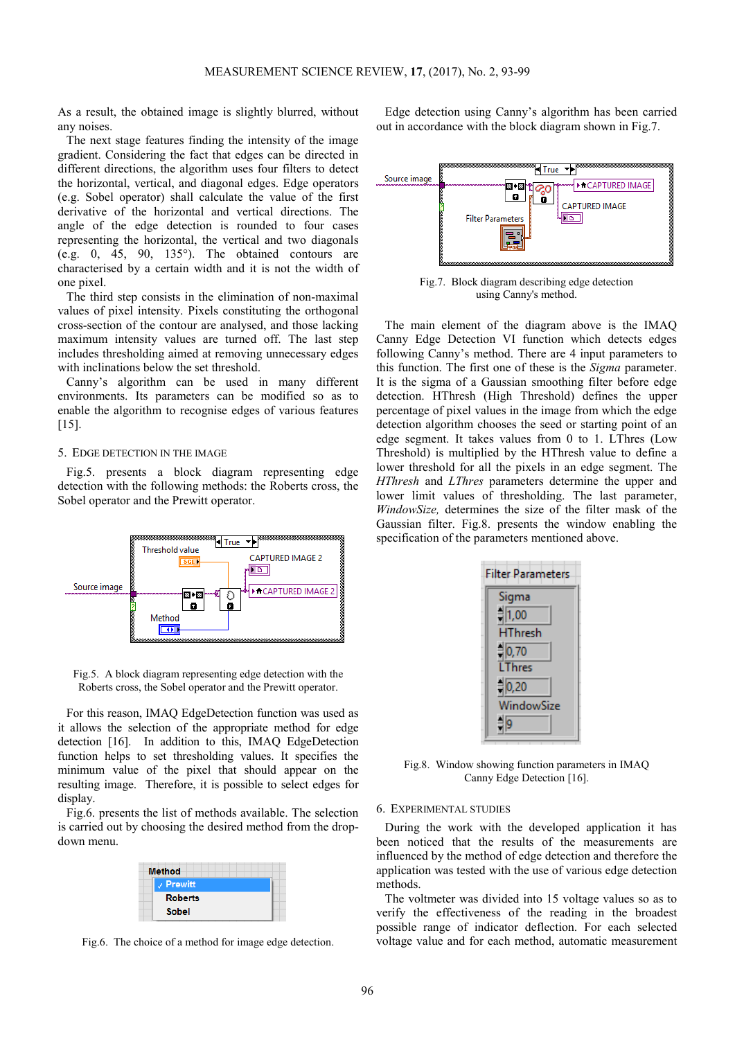As a result, the obtained image is slightly blurred, without any noises.

The next stage features finding the intensity of the image gradient. Considering the fact that edges can be directed in different directions, the algorithm uses four filters to detect the horizontal, vertical, and diagonal edges. Edge operators (e.g. Sobel operator) shall calculate the value of the first derivative of the horizontal and vertical directions. The angle of the edge detection is rounded to four cases representing the horizontal, the vertical and two diagonals (e.g. 0, 45, 90, 135 $^{\circ}$ ). The obtained contours are characterised by a certain width and it is not the width of one pixel.

The third step consists in the elimination of non-maximal values of pixel intensity. Pixels constituting the orthogonal cross-section of the contour are analysed, and those lacking maximum intensity values are turned off. The last step includes thresholding aimed at removing unnecessary edges with inclinations below the set threshold.

Canny's algorithm can be used in many different environments. Its parameters can be modified so as to enable the algorithm to recognise edges of various features [15].

## 5. EDGE DETECTION IN THE IMAGE

Fig.5. presents a block diagram representing edge detection with the following methods: the Roberts cross, the Sobel operator and the Prewitt operator.



Fig.5. A block diagram representing edge detection with the Roberts cross, the Sobel operator and the Prewitt operator.

For this reason, IMAQ EdgeDetection function was used as it allows the selection of the appropriate method for edge detection [16]. In addition to this, IMAQ EdgeDetection function helps to set thresholding values. It specifies the minimum value of the pixel that should appear on the resulting image. Therefore, it is possible to select edges for display.

Fig.6. presents the list of methods available. The selection is carried out by choosing the desired method from the dropdown menu.

| <b>Method</b>      |  |
|--------------------|--|
| $\sqrt{P}$ Prewitt |  |
| <b>Roberts</b>     |  |
| Sobel              |  |

Fig.6. The choice of a method for image edge detection.

Edge detection using Canny's algorithm has been carried out in accordance with the block diagram shown in Fig.7.



Fig.7. Block diagram describing edge detection using Canny's method.

The main element of the diagram above is the IMAQ Canny Edge Detection VI function which detects edges following Canny's method. There are 4 input parameters to this function. The first one of these is the *Sigma* parameter. It is the sigma of a Gaussian smoothing filter before edge detection. HThresh (High Threshold) defines the upper percentage of pixel values in the image from which the edge detection algorithm chooses the seed or starting point of an edge segment. It takes values from 0 to 1. LThres (Low Threshold) is multiplied by the HThresh value to define a lower threshold for all the pixels in an edge segment. The *HThresh* and *LThres* parameters determine the upper and lower limit values of thresholding. The last parameter, *WindowSize,* determines the size of the filter mask of the Gaussian filter. Fig.8. presents the window enabling the specification of the parameters mentioned above.

| <b>Filter Parameters</b> |
|--------------------------|
| Sigma                    |
| $= 1,00$                 |
| <b>HThresh</b>           |
| $= 0,70$                 |
| <b>LThres</b>            |
| $= 0,20$                 |
| WindowSize               |
| Ħр                       |

Fig.8. Window showing function parameters in IMAQ Canny Edge Detection [16].

### 6. EXPERIMENTAL STUDIES

During the work with the developed application it has been noticed that the results of the measurements are influenced by the method of edge detection and therefore the application was tested with the use of various edge detection methods.

The voltmeter was divided into 15 voltage values so as to verify the effectiveness of the reading in the broadest possible range of indicator deflection. For each selected voltage value and for each method, automatic measurement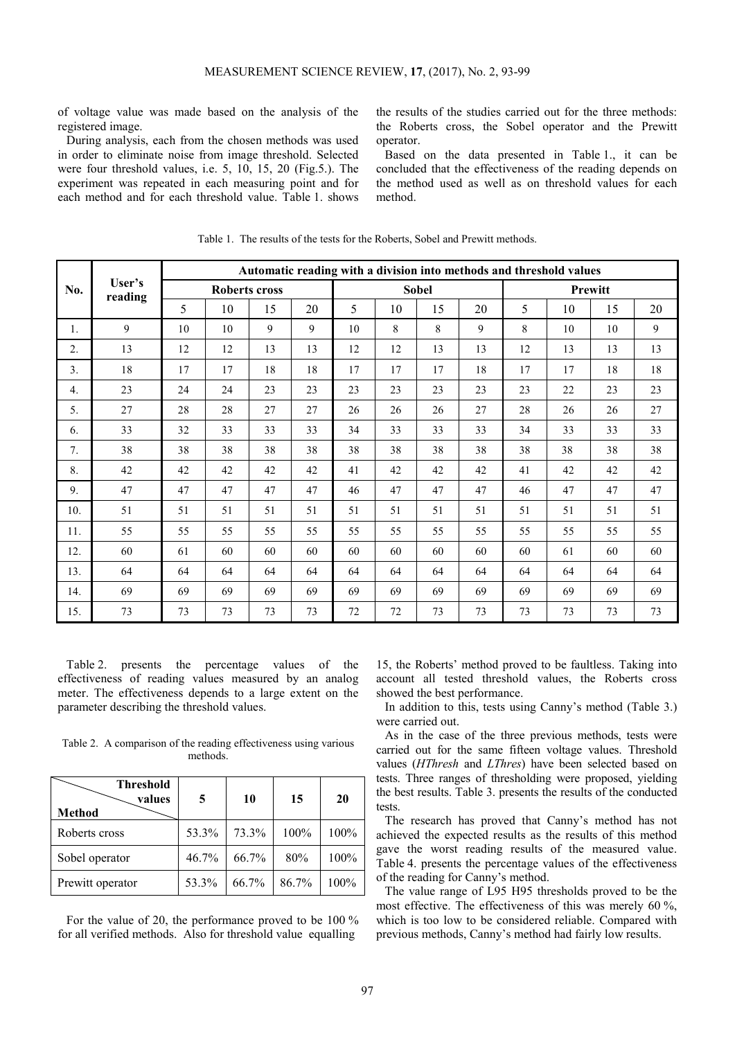of voltage value was made based on the analysis of the registered image.

During analysis, each from the chosen methods was used in order to eliminate noise from image threshold. Selected were four threshold values, i.e. 5, 10, 15, 20 (Fig.5.). The experiment was repeated in each measuring point and for each method and for each threshold value. Table 1. shows the results of the studies carried out for the three methods: the Roberts cross, the Sobel operator and the Prewitt operator.

Based on the data presented in Table 1., it can be concluded that the effectiveness of the reading depends on the method used as well as on threshold values for each method.

|                |         | Automatic reading with a division into methods and threshold values |    |    |              |    |    |         |    |    |    |    |    |
|----------------|---------|---------------------------------------------------------------------|----|----|--------------|----|----|---------|----|----|----|----|----|
| No.            | reading | User's<br><b>Roberts cross</b>                                      |    |    | <b>Sobel</b> |    |    | Prewitt |    |    |    |    |    |
|                |         | 5                                                                   | 10 | 15 | 20           | 5  | 10 | 15      | 20 | 5  | 10 | 15 | 20 |
| 1.             | 9       | 10                                                                  | 10 | 9  | 9            | 10 | 8  | 8       | 9  | 8  | 10 | 10 | 9  |
| 2.             | 13      | 12                                                                  | 12 | 13 | 13           | 12 | 12 | 13      | 13 | 12 | 13 | 13 | 13 |
| 3 <sub>1</sub> | 18      | 17                                                                  | 17 | 18 | 18           | 17 | 17 | 17      | 18 | 17 | 17 | 18 | 18 |
| 4.             | 23      | 24                                                                  | 24 | 23 | 23           | 23 | 23 | 23      | 23 | 23 | 22 | 23 | 23 |
| 5.             | 27      | 28                                                                  | 28 | 27 | 27           | 26 | 26 | 26      | 27 | 28 | 26 | 26 | 27 |
| 6.             | 33      | 32                                                                  | 33 | 33 | 33           | 34 | 33 | 33      | 33 | 34 | 33 | 33 | 33 |
| 7.             | 38      | 38                                                                  | 38 | 38 | 38           | 38 | 38 | 38      | 38 | 38 | 38 | 38 | 38 |
| 8.             | 42      | 42                                                                  | 42 | 42 | 42           | 41 | 42 | 42      | 42 | 41 | 42 | 42 | 42 |
| 9.             | 47      | 47                                                                  | 47 | 47 | 47           | 46 | 47 | 47      | 47 | 46 | 47 | 47 | 47 |
| 10.            | 51      | 51                                                                  | 51 | 51 | 51           | 51 | 51 | 51      | 51 | 51 | 51 | 51 | 51 |
| 11.            | 55      | 55                                                                  | 55 | 55 | 55           | 55 | 55 | 55      | 55 | 55 | 55 | 55 | 55 |
| 12.            | 60      | 61                                                                  | 60 | 60 | 60           | 60 | 60 | 60      | 60 | 60 | 61 | 60 | 60 |
| 13.            | 64      | 64                                                                  | 64 | 64 | 64           | 64 | 64 | 64      | 64 | 64 | 64 | 64 | 64 |
| 14.            | 69      | 69                                                                  | 69 | 69 | 69           | 69 | 69 | 69      | 69 | 69 | 69 | 69 | 69 |
| 15.            | 73      | 73                                                                  | 73 | 73 | 73           | 72 | 72 | 73      | 73 | 73 | 73 | 73 | 73 |

Table 1. The results of the tests for the Roberts, Sobel and Prewitt methods.

Table 2. presents the percentage values of the effectiveness of reading values measured by an analog meter. The effectiveness depends to a large extent on the parameter describing the threshold values.

Table 2. A comparison of the reading effectiveness using various methods.

| Threshold<br>values<br><b>Method</b> | 5        | 10    | 15    | 20   |
|--------------------------------------|----------|-------|-------|------|
| Roberts cross                        | 53.3%    | 73.3% | 100%  | 100% |
| Sobel operator                       | $46.7\%$ | 66.7% | 80%   | 100% |
| Prewitt operator                     | 53.3%    | 66.7% | 86.7% | 100% |

For the value of 20, the performance proved to be 100 % for all verified methods. Also for threshold value equalling

15, the Roberts' method proved to be faultless. Taking into account all tested threshold values, the Roberts cross showed the best performance.

In addition to this, tests using Canny's method (Table 3.) were carried out.

As in the case of the three previous methods, tests were carried out for the same fifteen voltage values. Threshold values (*HThresh* and *LThres*) have been selected based on tests. Three ranges of thresholding were proposed, yielding the best results. Table 3. presents the results of the conducted tests.

The research has proved that Canny's method has not achieved the expected results as the results of this method gave the worst reading results of the measured value. Table 4. presents the percentage values of the effectiveness of the reading for Canny's method.

The value range of L95 H95 thresholds proved to be the most effective. The effectiveness of this was merely 60 %, which is too low to be considered reliable. Compared with previous methods, Canny's method had fairly low results.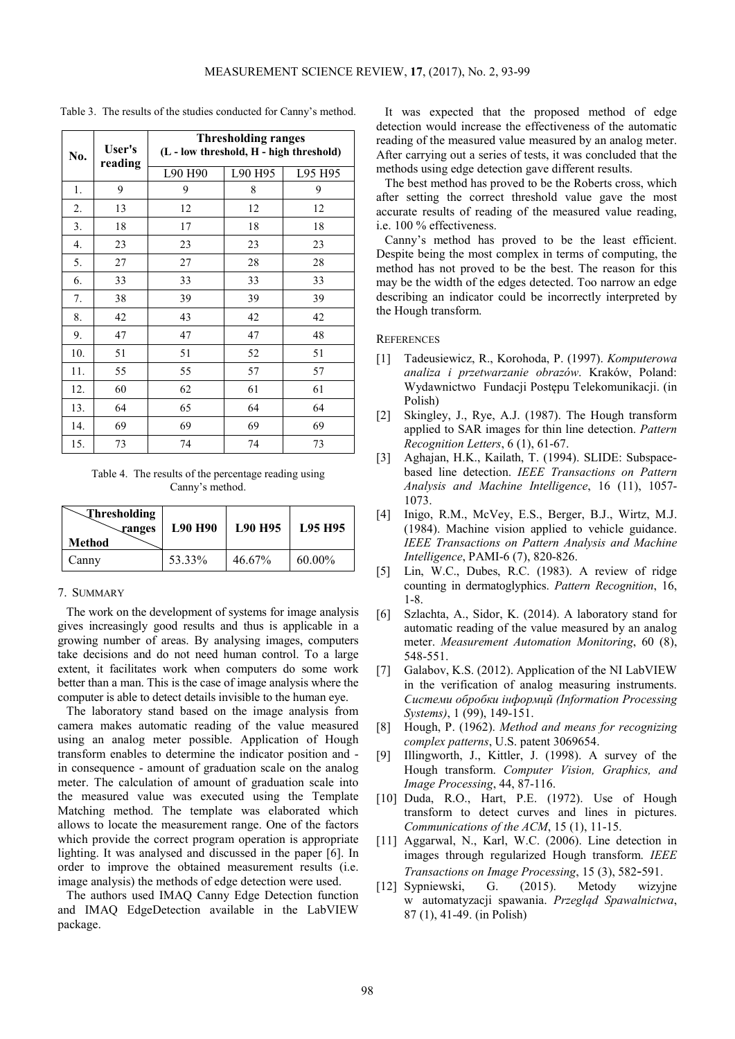| No. | User's<br>reading | <b>Thresholding ranges</b><br>(L - low threshold, H - high threshold) |         |         |  |  |  |  |
|-----|-------------------|-----------------------------------------------------------------------|---------|---------|--|--|--|--|
|     |                   | L90 H90                                                               | L90 H95 | L95 H95 |  |  |  |  |
| 1.  | 9                 | 9                                                                     | 8       | 9       |  |  |  |  |
| 2.  | 13                | 12                                                                    | 12      | 12      |  |  |  |  |
| 3.  | 18                | 17                                                                    | 18      | 18      |  |  |  |  |
| 4.  | 23                | 23                                                                    | 23      | 23      |  |  |  |  |
| 5.  | 27                | 27                                                                    | 28      | 28      |  |  |  |  |
| 6.  | 33                | 33                                                                    | 33      | 33      |  |  |  |  |
| 7.  | 38                | 39                                                                    | 39      | 39      |  |  |  |  |
| 8.  | 42                | 43                                                                    | 42      | 42      |  |  |  |  |
| 9.  | 47                | 47                                                                    | 47      | 48      |  |  |  |  |
| 10. | 51                | 51                                                                    | 52      | 51      |  |  |  |  |
| 11. | 55                | 55                                                                    | 57      | 57      |  |  |  |  |
| 12. | 60                | 62                                                                    | 61      | 61      |  |  |  |  |
| 13. | 64                | 65                                                                    | 64      | 64      |  |  |  |  |
| 14. | 69                | 69                                                                    | 69      | 69      |  |  |  |  |
| 15. | 73                | 74                                                                    | 74      | 73      |  |  |  |  |

Table 3. The results of the studies conducted for Canny's method.

Table 4. The results of the percentage reading using Canny's method.

| Thresholding<br><b><i><u>ranges</u></i></b><br>Method | <b>L90 H90</b> | <b>L90 H95</b> | <b>L95 H95</b> |
|-------------------------------------------------------|----------------|----------------|----------------|
| Canny                                                 | 53.33%         | $46.67\%$      | 60.00%         |

## 7. SUMMARY

The work on the development of systems for image analysis gives increasingly good results and thus is applicable in a growing number of areas. By analysing images, computers take decisions and do not need human control. To a large extent, it facilitates work when computers do some work better than a man. This is the case of image analysis where the computer is able to detect details invisible to the human eye.

The laboratory stand based on the image analysis from camera makes automatic reading of the value measured using an analog meter possible. Application of Hough transform enables to determine the indicator position and in consequence - amount of graduation scale on the analog meter. The calculation of amount of graduation scale into the measured value was executed using the Template Matching method. The template was elaborated which allows to locate the measurement range. One of the factors which provide the correct program operation is appropriate lighting. It was analysed and discussed in the paper [6]. In order to improve the obtained measurement results (i.e. image analysis) the methods of edge detection were used.

The authors used IMAQ Canny Edge Detection function and IMAQ EdgeDetection available in the LabVIEW package.

It was expected that the proposed method of edge detection would increase the effectiveness of the automatic reading of the measured value measured by an analog meter. After carrying out a series of tests, it was concluded that the methods using edge detection gave different results.

The best method has proved to be the Roberts cross, which after setting the correct threshold value gave the most accurate results of reading of the measured value reading, i.e. 100 % effectiveness.

Canny's method has proved to be the least efficient. Despite being the most complex in terms of computing, the method has not proved to be the best. The reason for this may be the width of the edges detected. Too narrow an edge describing an indicator could be incorrectly interpreted by the Hough transform.

**REFERENCES** 

- [1] Tadeusiewicz, R., Korohoda, P. (1997). *Komputerowa analiza i przetwarzanie obrazów*. Kraków, Poland: Wydawnictwo Fundacji Postępu Telekomunikacji. (in Polish)
- [2] Skingley, J., Rye, A.J. (1987). The Hough transform applied to SAR images for thin line detection. *Pattern Recognition Letters*, 6 (1), 61-67.
- [3] Aghajan, H.K., Kailath, T. (1994). SLIDE: Subspacebased line detection. *IEEE Transactions on Pattern Analysis and Machine Intelligence*, 16 (11), 1057- 1073.
- [4] Inigo, R.M., McVey, E.S., Berger, B.J., Wirtz, M.J. (1984). Machine vision applied to vehicle guidance. *IEEE Transactions on Pattern Analysis and Machine Intelligence*, PAMI-6 (7), 820-826.
- [5] Lin, W.C., Dubes, R.C. (1983). A review of ridge counting in dermatoglyphics. *Pattern Recognition*, 16, 1-8.
- [6] Szlachta, A., Sidor, K. (2014). A laboratory stand for automatic reading of the value measured by an analog meter. *Measurement Automation Monitoring*, 60 (8), 548-551.
- [7] Galabov, K.S. (2012). Application of the NI LabVIEW in the verification of analog measuring instruments. *Ϲистеми oбрoбки iнформцй (Information Processing Systems)*, 1 (99), 149-151.
- [8] Hough, P. (1962). *Method and means for recognizing complex patterns*, U.S. patent 3069654.
- [9] Illingworth, J., Kittler, J. (1998). A survey of the Hough transform. *Computer Vision, Graphics, and Image Processing*, 44, 87-116.
- [10] Duda, R.O., Hart, P.E. (1972). Use of Hough transform to detect curves and lines in pictures. *Communications of the ACM*, 15 (1), 11-15.
- [11] Aggarwal, N., Karl, W.C. (2006). Line detection in images through regularized Hough transform. *IEEE Transactions on Image Processing*, 15 (3), 582-591.
- [12] Sypniewski, G. (2015). Metody wizyjne w automatyzacji spawania. *Przegląd Spawalnictwa*, 87 (1), 41-49. (in Polish)